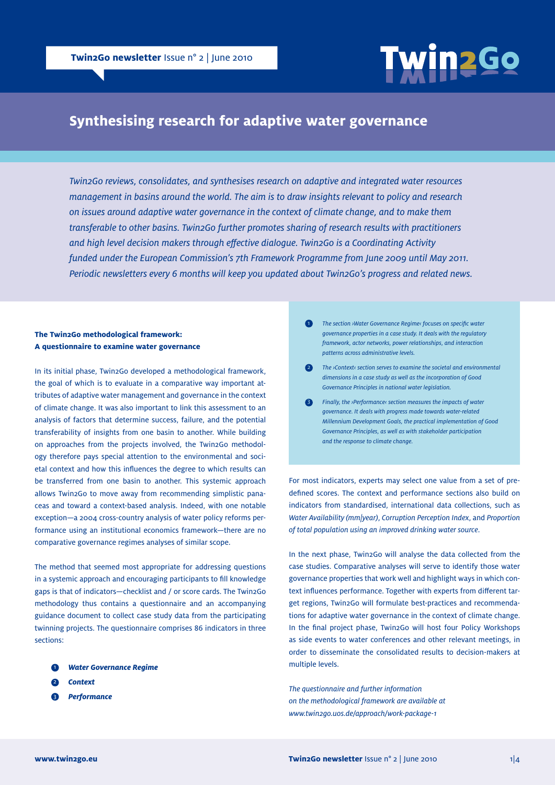

# **Synthesising research for adaptive water governance**

*Twin2Go reviews, consolidates, and synthesises research on adaptive and integrated water resources management in basins around the world. The aim is to draw insights relevant to policy and research on issues around adaptive water governance in the context of climate change, and to make them transferable to other basins. Twin2Go further promotes sharing of research results with practitioners and high level decision makers through effective dialogue. Twin2Go is a Coordinating Activity funded under the European Commission's 7th Framework Programme from June 2009 until May 2011. Periodic newsletters every 6 months will keep you updated about Twin2Go's progress and related news.*

## **The Twin2Go methodological framework: A questionnaire to examine water governance**

In its initial phase, Twin2Go developed a methodological framework, the goal of which is to evaluate in a comparative way important attributes of adaptive water management and governance in the context of climate change. It was also important to link this assessment to an analysis of factors that determine success, failure, and the potential transferability of insights from one basin to another. While building on approaches from the projects involved, the Twin2Go methodology therefore pays special attention to the environmental and societal context and how this influences the degree to which results can be transferred from one basin to another. This systemic approach allows Twin2Go to move away from recommending simplistic panaceas and toward a context-based analysis. Indeed, with one notable exception—a 2004 cross-country analysis of water policy reforms performance using an institutional economics framework—there are no comparative governance regimes analyses of similar scope.

The method that seemed most appropriate for addressing questions in a systemic approach and encouraging participants to fill knowledge gaps is that of indicators—checklist and / or score cards. The Twin2Go methodology thus contains a questionnaire and an accompanying guidance document to collect case study data from the participating twinning projects. The questionnaire comprises 86 indicators in three sections:

- *Water Governance Regime* 1
- *Context* 2
- *Performance* 6
- *The section ›Water Governance Regime‹ focuses on specific water governance properties in a case study. It deals with the regulatory framework, actor networks, power relationships, and interaction patterns across administrative levels.*   $\bullet$
- *The ›Context‹ section serves to examine the societal and environmental dimensions in a case study as well as the incorporation of Good Governance Principles in national water legislation.*   $\bullet$
- **3** Finally, the *>Performance section measures the impacts of water governance. It deals with progress made towards water-related Millennium Development Goals, the practical implementation of Good Governance Principles, as well as with stakeholder participation and the response to climate change.*

For most indicators, experts may select one value from a set of predefined scores. The context and performance sections also build on indicators from standardised, international data collections, such as *Water Availability (mm|year)*, *Corruption Perception Index*, and *Proportion of total population using an improved drinking water source*.

In the next phase, Twin2Go will analyse the data collected from the case studies. Comparative analyses will serve to identify those water governance properties that work well and highlight ways in which context influences performance. Together with experts from different target regions, Twin2Go will formulate best-practices and recommendations for adaptive water governance in the context of climate change. In the final project phase, Twin2Go will host four Policy Workshops as side events to water conferences and other relevant meetings, in order to disseminate the consolidated results to decision-makers at multiple levels.

*The questionnaire and further information on the methodological framework are available at <www.twin2go.uos.de/approach/work-package-1>*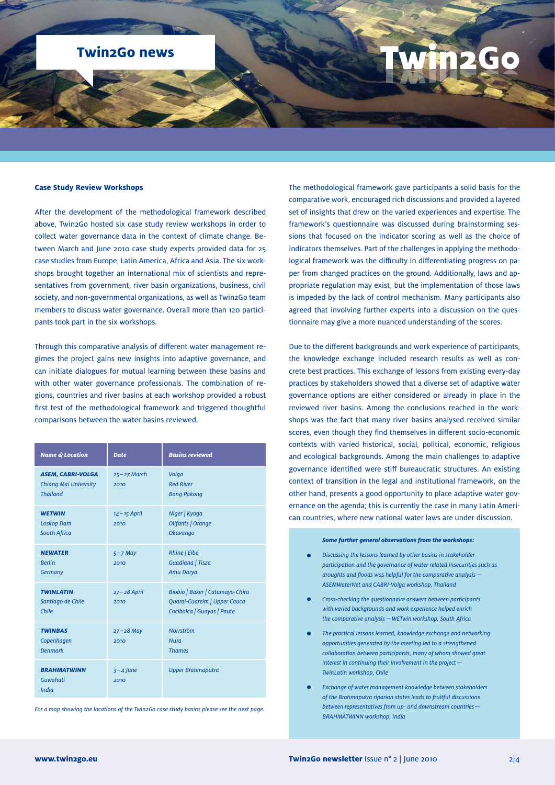## **Twin2Go news**

### **Case Study Review Workshops**

After the development of the methodological framework described above, Twin2Go hosted six case study review workshops in order to collect water governance data in the context of climate change. Between March and June 2010 case study experts provided data for 25 case studies from Europe, Latin America, Africa and Asia. The six workshops brought together an international mix of scientists and representatives from government, river basin organizations, business, civil society, and non-governmental organizations, as well as Twin2Go team members to discuss water governance. Overall more than 120 participants took part in the six workshops.

Through this comparative analysis of different water management regimes the project gains new insights into adaptive governance, and can initiate dialogues for mutual learning between these basins and with other water governance professionals. The combination of regions, countries and river basins at each workshop provided a robust first test of the methodological framework and triggered thoughtful comparisons between the water basins reviewed.

| <b>Name @ Location</b>                                               | <b>Date</b>             | <b>Basins reviewed</b>                                                                        |
|----------------------------------------------------------------------|-------------------------|-----------------------------------------------------------------------------------------------|
| <b>ASEM, CABRI-VOLGA</b><br>Chiang Mai University<br><b>Thailand</b> | $25 - 27$ March<br>2010 | Volga<br><b>Red River</b><br><b>Bang Pakong</b>                                               |
| <b>WETWIN</b><br><b>Loskop Dam</b><br><b>South Africa</b>            | $14 - 15$ April<br>2010 | Niger   Kyoga<br>Olifants   Orange<br><b>Okavango</b>                                         |
| <b>NEWATER</b><br><b>Berlin</b><br>Germany                           | $5 - 7$ May<br>2010     | Rhine   Elbe<br>Guadiana   Tisza<br>Amu Darya                                                 |
| <b>TWINLATIN</b><br>Santiago de Chile<br>Chile                       | $27 - 28$ April<br>2010 | Biobio   Baker   Catamayo-Chira<br>Quarai-Cuareim   Upper Cauca<br>Cocibolca   Guayas   Paute |
| <b>TWINBAS</b><br>Copenhagen<br><b>Denmark</b>                       | $27 - 28$ May<br>2010   | <b>Norrström</b><br><b>Nura</b><br><b>Thames</b>                                              |
| <b>BRAHMATWINN</b><br>Guwahati<br><b>India</b>                       | $3 - 4$ June<br>2010    | <b>Upper Brahmaputra</b>                                                                      |

*For a map showing the locations of the Twin2Go case study basins please see the next page.*

The methodological framework gave participants a solid basis for the comparative work, encouraged rich discussions and provided a layered set of insights that drew on the varied experiences and expertise. The framework's questionnaire was discussed during brainstorming sessions that focused on the indicator scoring as well as the choice of indicators themselves. Part of the challenges in applying the methodological framework was the difficulty in differentiating progress on paper from changed practices on the ground. Additionally, laws and appropriate regulation may exist, but the implementation of those laws is impeded by the lack of control mechanism. Many participants also agreed that involving further experts into a discussion on the questionnaire may give a more nuanced understanding of the scores.

Due to the different backgrounds and work experience of participants, the knowledge exchange included research results as well as concrete best practices. This exchange of lessons from existing every-day practices by stakeholders showed that a diverse set of adaptive water governance options are either considered or already in place in the reviewed river basins. Among the conclusions reached in the workshops was the fact that many river basins analysed received similar scores, even though they find themselves in different socio-economic contexts with varied historical, social, political, economic, religious and ecological backgrounds. Among the main challenges to adaptive governance identified were stiff bureaucratic structures. An existing context of transition in the legal and institutional framework, on the other hand, presents a good opportunity to place adaptive water governance on the agenda; this is currently the case in many Latin American countries, where new national water laws are under discussion.

#### *Some further general observations from the workshops:*

- *Discussing the lessons learned by other basins in stakeholder participation and the governance of water-related insecurities such as droughts and floods was helpful for the comparative analysis— ASEMWaterNet and CABRI-Volga workshop, Thailand*
- *Cross-checking the questionnaire answers between participants with varied backgrounds and work experience helped enrich the comparative analysis—WETwin workshop, South Africa*
- *The practical lessons learned, knowledge exchange and networking opportunities generated by the meeting led to a strengthened collaboration between participants, many of whom showed great interest in continuing their involvement in the project— TwinLatin workshop, Chile*
- *Exchange of water management knowledge between stakeholders of the Brahmaputra riparian states leads to fruitful discussions between representatives from up- and downstream countries— BRAHMATWINN workshop, India*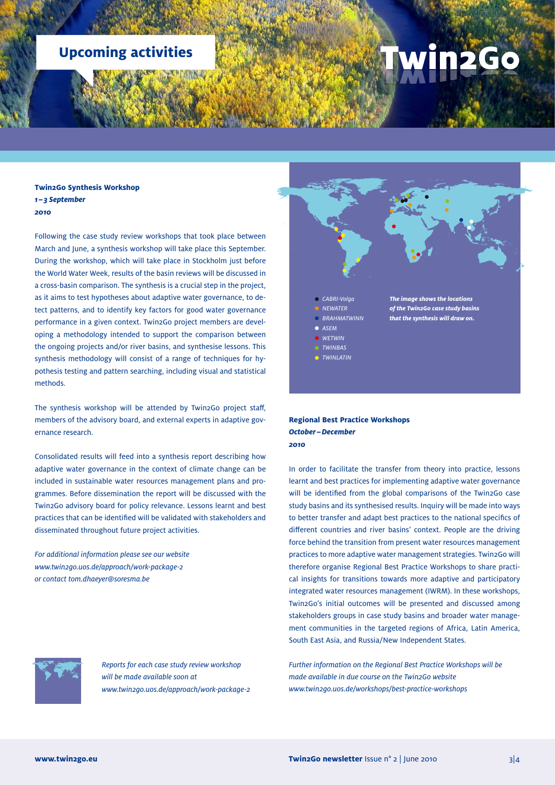# **Upcoming activities**

# 2Go

**Twin2Go Synthesis Workshop**  *1–3 September 2010* 

Following the case study review workshops that took place between March and June, a synthesis workshop will take place this September. During the workshop, which will take place in Stockholm just before the World Water Week, results of the basin reviews will be discussed in a cross-basin comparison. The synthesis is a crucial step in the project, as it aims to test hypotheses about adaptive water governance, to detect patterns, and to identify key factors for good water governance performance in a given context. Twin2Go project members are developing a methodology intended to support the comparison between the ongoing projects and/or river basins, and synthesise lessons. This synthesis methodology will consist of a range of techniques for hypothesis testing and pattern searching, including visual and statistical methods.

The synthesis workshop will be attended by Twin2Go project staff, members of the advisory board, and external experts in adaptive governance research.

Consolidated results will feed into a synthesis report describing how adaptive water governance in the context of climate change can be included in sustainable water resources management plans and programmes. Before dissemination the report will be discussed with the Twin2Go advisory board for policy relevance. Lessons learnt and best practices that can be identified will be validated with stakeholders and disseminated throughout future project activities.

*For additional information please see our website <www.twin2go.uos.de/approach/work-package-2> or contact<tom.dhaeyer@soresma.be>*



## **Regional Best Practice Workshops**  *October–December 2010*

In order to facilitate the transfer from theory into practice, lessons learnt and best practices for implementing adaptive water governance will be identified from the global comparisons of the Twin2Go case study basins and its synthesised results. Inquiry will be made into ways to better transfer and adapt best practices to the national specifics of different countries and river basins' context. People are the driving force behind the transition from present water resources management practices to more adaptive water management strategies. Twin2Go will therefore organise Regional Best Practice Workshops to share practical insights for transitions towards more adaptive and participatory integrated water resources management (IWRM). In these workshops, Twin2Go's initial outcomes will be presented and discussed among stakeholders groups in case study basins and broader water management communities in the targeted regions of Africa, Latin America, South East Asia, and Russia/New Independent States.

*Further information on the Regional Best Practice Workshops will be made available in due course on the Twin2Go website [www.twin2go.uos.de/workshops/best-practice-workshops](www.twin2go.uos.de/workshops/best-practice-workshops )*



 *Reports for each case study review workshop will be made available soon at <www.twin2go.uos.de/approach/work-package-2>*